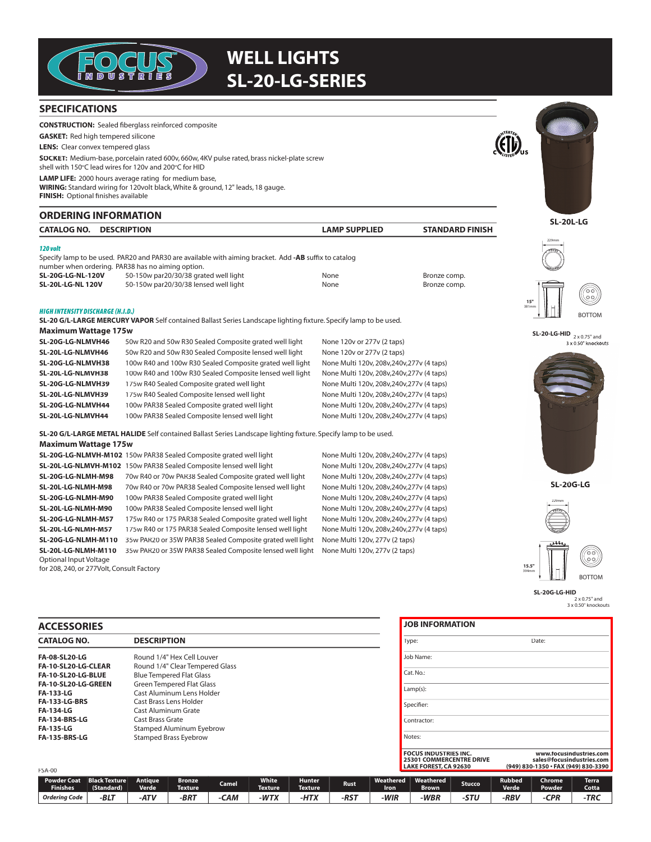

# **WELL LIGHTS SL-20-LG-SERIES**

### **SPECIFICATIONS**

**CONSTRUCTION:** Sealed fiberglass reinforced composite **GASKET:** Red high tempered silicone **LENS:** Clear convex tempered glass **SOCKET:** Medium-base, porcelain rated 600v, 660w, 4KV pulse rated, brass nickel-plate screw shell with 150°C lead wires for 120v and 200°C for HID **LAMP LIFE:** 2000 hours average rating for medium base, **WIRING:** Standard wiring for 120volt black, White & ground, 12" leads, 18 gauge. **FINISH:** Optional finishes available **ORDERING INFORMATION <sup>I</sup>NTERTE<sup>K</sup> LISTED**

| <b>CATALOG NO.</b> | <b>DESCRIPTION</b> | <b>AMP SUPPLIED</b> | <b>STANDARD FINISH</b> |
|--------------------|--------------------|---------------------|------------------------|
| 120 volt           |                    |                     |                        |

Specify lamp to be used. PAR20 and PAR30 are available with aiming bracket. Add -AB suffix to catalog number when ordering. PAR38 has no aiming option.

| <b>SL-20G-LG-NL-120V</b> | 50-150w par20/30/38 grated well light | None | Bronze comp. |
|--------------------------|---------------------------------------|------|--------------|
| <b>SL-20L-LG-NL 120V</b> | 50-150w par20/30/38 lensed well light | None | Bronze comp. |

### HIGH INTENSIT Y DISCHARGE (H.I.D.)

**SL-20 G/L-LARGE MERCURY VAPOR** Self contained Ballast Series Landscape lighting fixture. Specify lamp to be used. **Maximum Wattage 175w**

| SL-20G-LG-NLMVH46 | 50w R20 and 50w R30 Sealed Composite grated well light   | None 120v or 277v (2 taps)                 |
|-------------------|----------------------------------------------------------|--------------------------------------------|
| SL-20L-LG-NLMVH46 | 50w R20 and 50w R30 Sealed Composite lensed well light   | None 120v or 277v (2 taps)                 |
| SL-20G-LG-NLMVH38 | 100w R40 and 100w R30 Sealed Composite grated well light | None Multi 120v, 208v, 240v, 277v (4 taps) |
| SL-20L-LG-NLMVH38 | 100w R40 and 100w R30 Sealed Composite lensed well light | None Multi 120v, 208v, 240v, 277v (4 taps) |
| SL-20G-LG-NLMVH39 | 175w R40 Sealed Composite grated well light              | None Multi 120v, 208v, 240v, 277v (4 taps) |
| SL-20L-LG-NLMVH39 | 175w R40 Sealed Composite lensed well light              | None Multi 120v, 208v, 240v, 277v (4 taps) |
| SL-20G-LG-NLMVH44 | 100w PAR38 Sealed Composite grated well light            | None Multi 120v, 208v, 240v, 277v (4 taps) |
| SL-20L-LG-NLMVH44 | 100w PAR38 Sealed Composite lensed well light            | None Multi 120v, 208v, 240v, 277v (4 taps) |

**SL-20 G/L-LARGE METAL HALIDE** Self contained Ballast Series Landscape lighting fixture. Specify lamp to be used.

#### **Maximum Wattage 175w**

**SL-20G-LG-NLMVH-M102** 150w PAR38 Sealed Composite grated well light None Multi 120v, 208v, 240v, 277v (4 taps) **SL-20L-LG-NLMVH-M102** 150w PAR38 Sealed Composite lensed well light None Multi 120v, 208v, 240v, 277v (4 taps) **SL-20G-LG-NLMH-M98** 70w R40 or 70w PAR38 Sealed Composite grated well light None Multi 120v, 208v, 240v, 277v (4 taps) **SL-20L-LG-NLMH-M98** 70w R40 or 70w PAR38 Sealed Composite lensed well light None Multi 120v, 208v,240v,277v (4 taps) **SL-20G-LG-NLMH-M90** 100w PAR38 Sealed Composite grated well light None Multi 120v, 208v, 240v, 277v (4 taps) SL-20L-LG-NLMH-M90 100w PAR38 Sealed Composite lensed well light None Multi 120v, 208v, 240v, 277v (4 taps) **SL-20G-LG-NLMH-M57** 175w R40 or 175 PAR38 Sealed Composite grated well light None Multi 120v, 208v,240v,277v (4 taps) **SL-20L-LG-NLMH-M57** 175w R40 or 175 PAR38 Sealed Composite lensed well light None Multi 120v, 208v,240v,277v (4 taps) **SL-20G-LG-NLMH-M110** 35w PAR20 or 35W PAR38 Sealed Composite grated well light None Multi 120v, 277v (2 taps) **SL-20L-LG-NLMH-M110** 35w PAR20 or 35W PAR38 Sealed Composite lensed well light None Multi 120v, 277v (2 taps) Optional Input Voltage for 208, 240, or 277Volt, Consult Factory

**JOB INFORMATION**

Job Name: Cat. No.: Lamp(s) Specifier: Contractor: Notes:

Type: Date:



**SL-20L-LG**





**SL-20-LG-HID**  $_{2 \times 0.75"$  and 3 x 0.50" knockouts



**SL-20G-LG**



2 x 0.75" and SL-20G-LG-HID

3 x 0.50" knockouts

| <b>CATALOG NO.</b>   | <b>DESCRIPTION</b>               |  |  |  |  |  |  |
|----------------------|----------------------------------|--|--|--|--|--|--|
| <b>FA-08-SL20-LG</b> | Round 1/4" Hex Cell Louver       |  |  |  |  |  |  |
| FA-10-SL20-LG-CLEAR  | Round 1/4" Clear Tempered Glass  |  |  |  |  |  |  |
| FA-10-SL20-LG-BLUE   | <b>Blue Tempered Flat Glass</b>  |  |  |  |  |  |  |
| FA-10-SL20-LG-GREEN  | <b>Green Tempered Flat Glass</b> |  |  |  |  |  |  |
| <b>FA-133-LG</b>     | Cast Aluminum Lens Holder        |  |  |  |  |  |  |
| <b>FA-133-LG-BRS</b> | Cast Brass Lens Holder           |  |  |  |  |  |  |
| <b>FA-134-LG</b>     | Cast Aluminum Grate              |  |  |  |  |  |  |
| <b>FA-134-BRS-LG</b> | Cast Brass Grate                 |  |  |  |  |  |  |
| <b>FA-135-LG</b>     | Stamped Aluminum Eyebrow         |  |  |  |  |  |  |
| <b>FA-135-BRS-LG</b> | <b>Stamped Brass Eyebrow</b>     |  |  |  |  |  |  |

| <b>FSA-00</b>                         |                                    |                  |                          |       |                                |                                 |             |                   | <b>FOCUS INDUSTRIES INC.</b><br>LAKE FOREST, CA 92630 | 25301 COMMERCENTRE DRIVE |                               | www.focusindustries.com<br>sales@focusindustries.com<br>(949) 830-1350 · FAX (949) 830-3390 |                       |  |
|---------------------------------------|------------------------------------|------------------|--------------------------|-------|--------------------------------|---------------------------------|-------------|-------------------|-------------------------------------------------------|--------------------------|-------------------------------|---------------------------------------------------------------------------------------------|-----------------------|--|
| <b>Powder Coat</b><br><b>Finishes</b> | <b>Black Texture</b><br>(Standard) | Antique<br>Verde | <b>Bronze</b><br>Texture | Camel | <b>White</b><br><b>Texture</b> | <b>Hunter</b><br><b>Texture</b> | <b>Rust</b> | Weathered<br>Iron | Weathered<br><b>Brown</b>                             | Stucco                   | <b>Rubbed</b><br><b>Verde</b> | Chrome<br>Powder                                                                            | <b>Terra</b><br>Cotta |  |
| Orderina Code                         | $-BLT$                             | -ATV             | -BRT                     | САМ   | -WTX                           | -HTX                            | -RST        | -WIR              | -WBR                                                  | -STU                     | -RBV                          | -CPR                                                                                        | -TRC                  |  |